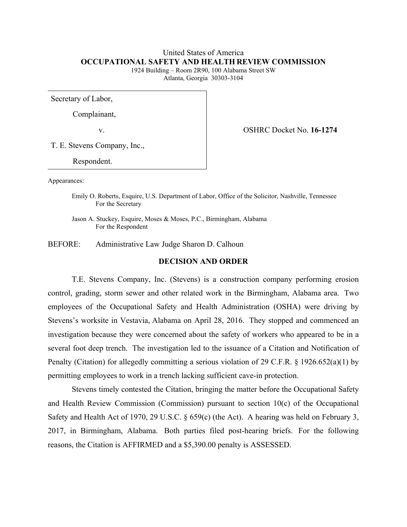# United States of America **OCCUPATIONAL SAFETY AND HEALTH REVIEW COMMISSION**

1924 Building – Room 2R90, 100 Alabama Street SW Atlanta, Georgia 30303-3104

Secretary of Labor,

Complainant,

v. OSHRC Docket No. **16-1274**

T. E. Stevens Company, Inc.,

Respondent.

Appearances:

Emily O. Roberts, Esquire, U.S. Department of Labor, Office of the Solicitor, Nashville, Tennessee For the Secretary

Jason A. Stuckey, Esquire, Moses & Moses, P.C., Birmingham, Alabama For the Respondent

BEFORE: Administrative Law Judge Sharon D. Calhoun

## **DECISION AND ORDER**

T.E. Stevens Company, Inc. (Stevens) is a construction company performing erosion control, grading, storm sewer and other related work in the Birmingham, Alabama area. Two employees of the Occupational Safety and Health Administration (OSHA) were driving by Stevens's worksite in Vestavia, Alabama on April 28, 2016. They stopped and commenced an investigation because they were concerned about the safety of workers who appeared to be in a several foot deep trench. The investigation led to the issuance of a Citation and Notification of Penalty (Citation) for allegedly committing a serious violation of 29 C.F.R. § 1926.652(a)(1) by permitting employees to work in a trench lacking sufficient cave-in protection.

Stevens timely contested the Citation, bringing the matter before the Occupational Safety and Health Review Commission (Commission) pursuant to section 10(c) of the Occupational Safety and Health Act of 1970, 29 U.S.C. § 659(c) (the Act). A hearing was held on February 3, 2017, in Birmingham, Alabama. Both parties filed post-hearing briefs. For the following reasons, the Citation is AFFIRMED and a \$5,390.00 penalty is ASSESSED.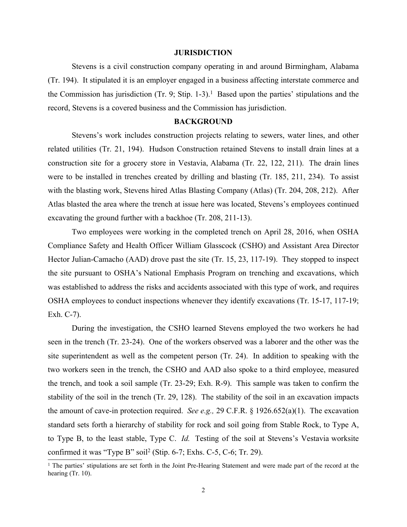#### **JURISDICTION**

Stevens is a civil construction company operating in and around Birmingham, Alabama (Tr. 194). It stipulated it is an employer engaged in a business affecting interstate commerce and the Commission has jurisdiction (Tr. 9; Stip. 1-3). <sup>1</sup> Based upon the parties' stipulations and the record, Stevens is a covered business and the Commission has jurisdiction.

### **BACKGROUND**

Stevens's work includes construction projects relating to sewers, water lines, and other related utilities (Tr. 21, 194). Hudson Construction retained Stevens to install drain lines at a construction site for a grocery store in Vestavia, Alabama (Tr. 22, 122, 211). The drain lines were to be installed in trenches created by drilling and blasting (Tr. 185, 211, 234). To assist with the blasting work, Stevens hired Atlas Blasting Company (Atlas) (Tr. 204, 208, 212). After Atlas blasted the area where the trench at issue here was located, Stevens's employees continued excavating the ground further with a backhoe (Tr. 208, 211-13).

Two employees were working in the completed trench on April 28, 2016, when OSHA Compliance Safety and Health Officer William Glasscock (CSHO) and Assistant Area Director Hector Julian-Camacho (AAD) drove past the site (Tr. 15, 23, 117-19). They stopped to inspect the site pursuant to OSHA's National Emphasis Program on trenching and excavations, which was established to address the risks and accidents associated with this type of work, and requires OSHA employees to conduct inspections whenever they identify excavations (Tr. 15-17, 117-19; Exh. C-7).

During the investigation, the CSHO learned Stevens employed the two workers he had seen in the trench (Tr. 23-24). One of the workers observed was a laborer and the other was the site superintendent as well as the competent person (Tr. 24). In addition to speaking with the two workers seen in the trench, the CSHO and AAD also spoke to a third employee, measured the trench, and took a soil sample (Tr. 23-29; Exh. R-9). This sample was taken to confirm the stability of the soil in the trench (Tr. 29, 128). The stability of the soil in an excavation impacts the amount of cave-in protection required. *See e.g.,* 29 C.F.R. § 1926.652(a)(1). The excavation standard sets forth a hierarchy of stability for rock and soil going from Stable Rock, to Type A, to Type B, to the least stable, Type C. *Id.* Testing of the soil at Stevens's Vestavia worksite confirmed it was "Type B" soil<sup>2</sup> (Stip. 6-7; Exhs. C-5, C-6; Tr. 29).

<sup>&</sup>lt;sup>1</sup> The parties' stipulations are set forth in the Joint Pre-Hearing Statement and were made part of the record at the hearing (Tr. 10).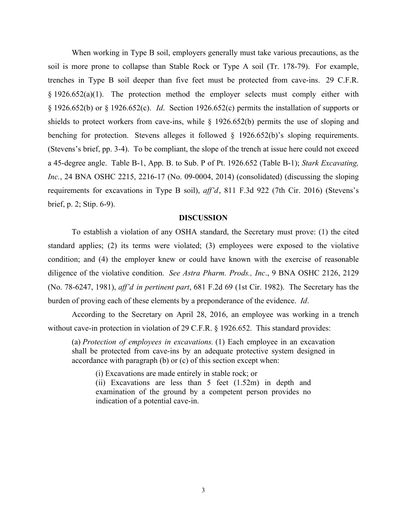When working in Type B soil, employers generally must take various precautions, as the soil is more prone to collapse than Stable Rock or Type A soil (Tr. 178-79). For example, trenches in Type B soil deeper than five feet must be protected from cave-ins. 29 C.F.R. § 1926.652(a)(1). The protection method the employer selects must comply either with § 1926.652(b) or § 1926.652(c). *Id*. Section 1926.652(c) permits the installation of supports or shields to protect workers from cave-ins, while § 1926.652(b) permits the use of sloping and benching for protection. Stevens alleges it followed § 1926.652(b)'s sloping requirements. (Stevens's brief, pp. 3-4). To be compliant, the slope of the trench at issue here could not exceed a 45-degree angle. Table B-1, App. B. to Sub. P of Pt. 1926.652 (Table B-1); *Stark Excavating, Inc.*, 24 BNA OSHC 2215, 2216-17 (No. 09-0004, 2014) (consolidated) (discussing the sloping requirements for excavations in Type B soil), *aff'd*, 811 F.3d 922 (7th Cir. 2016) (Stevens's brief, p. 2; Stip. 6-9).

#### **DISCUSSION**

To establish a violation of any OSHA standard, the Secretary must prove: (1) the cited standard applies; (2) its terms were violated; (3) employees were exposed to the violative condition; and (4) the employer knew or could have known with the exercise of reasonable diligence of the violative condition. *See Astra Pharm. Prods., Inc*., 9 BNA OSHC 2126, 2129 (No. 78-6247, 1981), *aff'd in pertinent part*, 681 F.2d 69 (1st Cir. 1982). The Secretary has the burden of proving each of these elements by a preponderance of the evidence. *Id*.

According to the Secretary on April 28, 2016, an employee was working in a trench without cave-in protection in violation of 29 C.F.R. § 1926.652. This standard provides:

(a) *Protection of employees in excavations.* (1) Each employee in an excavation shall be protected from cave-ins by an adequate protective system designed in accordance with paragraph (b) or (c) of this section except when:

(i) Excavations are made entirely in stable rock; or

(ii) Excavations are less than 5 feet (1.52m) in depth and examination of the ground by a competent person provides no indication of a potential cave-in.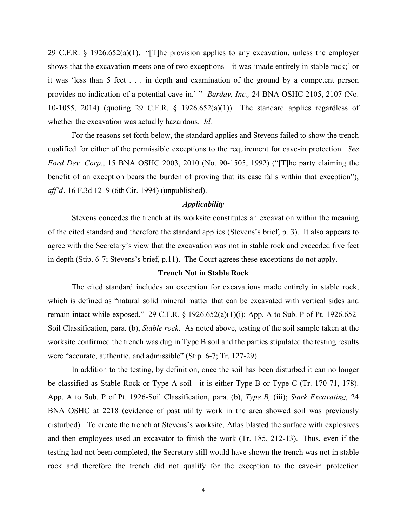29 C.F.R. § 1926.652(a)(1). "[T]he provision applies to any excavation, unless the employer shows that the excavation meets one of two exceptions—it was 'made entirely in stable rock;' or it was 'less than 5 feet . . . in depth and examination of the ground by a competent person provides no indication of a potential cave-in.' " *Bardav, Inc.,* 24 BNA OSHC 2105, 2107 (No. 10-1055, 2014) (quoting 29 C.F.R. § 1926.652(a)(1)). The standard applies regardless of whether the excavation was actually hazardous. *Id.*

For the reasons set forth below, the standard applies and Stevens failed to show the trench qualified for either of the permissible exceptions to the requirement for cave-in protection. *See Ford Dev. Corp*., 15 BNA OSHC 2003, 2010 (No. 90-1505, 1992) ("[T]he party claiming the benefit of an exception bears the burden of proving that its case falls within that exception"), *aff'd*, 16 F.3d 1219 (6th Cir. 1994) (unpublished).

## *Applicability*

Stevens concedes the trench at its worksite constitutes an excavation within the meaning of the cited standard and therefore the standard applies (Stevens's brief, p. 3). It also appears to agree with the Secretary's view that the excavation was not in stable rock and exceeded five feet in depth (Stip. 6-7; Stevens's brief, p.11). The Court agrees these exceptions do not apply.

#### **Trench Not in Stable Rock**

The cited standard includes an exception for excavations made entirely in stable rock, which is defined as "natural solid mineral matter that can be excavated with vertical sides and remain intact while exposed." 29 C.F.R. § 1926.652(a)(1)(i); App. A to Sub. P of Pt. 1926.652- Soil Classification, para. (b), *Stable rock*. As noted above, testing of the soil sample taken at the worksite confirmed the trench was dug in Type B soil and the parties stipulated the testing results were "accurate, authentic, and admissible" (Stip. 6-7; Tr. 127-29).

In addition to the testing, by definition, once the soil has been disturbed it can no longer be classified as Stable Rock or Type A soil—it is either Type B or Type C (Tr. 170-71, 178). App. A to Sub. P of Pt. 1926-Soil Classification, para. (b), *Type B,* (iii); *Stark Excavating,* 24 BNA OSHC at 2218 (evidence of past utility work in the area showed soil was previously disturbed). To create the trench at Stevens's worksite, Atlas blasted the surface with explosives and then employees used an excavator to finish the work (Tr. 185, 212-13). Thus, even if the testing had not been completed, the Secretary still would have shown the trench was not in stable rock and therefore the trench did not qualify for the exception to the cave-in protection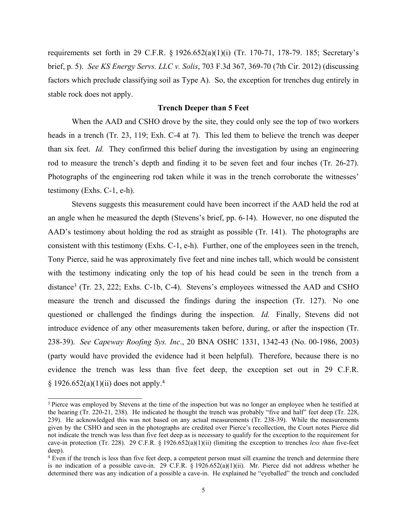requirements set forth in 29 C.F.R. § 1926.652(a)(1)(i) (Tr. 170-71, 178-79. 185; Secretary's brief, p. 5). *See KS Energy Servs. LLC v. Solis*, 703 F.3d 367, 369-70 (7th Cir. 2012) (discussing factors which preclude classifying soil as Type A). So, the exception for trenches dug entirely in stable rock does not apply.

### **Trench Deeper than 5 Feet**

When the AAD and CSHO drove by the site, they could only see the top of two workers heads in a trench (Tr. 23, 119; Exh. C-4 at 7). This led them to believe the trench was deeper than six feet. *Id.* They confirmed this belief during the investigation by using an engineering rod to measure the trench's depth and finding it to be seven feet and four inches (Tr. 26-27). Photographs of the engineering rod taken while it was in the trench corroborate the witnesses' testimony (Exhs. C-1, e-h).

Stevens suggests this measurement could have been incorrect if the AAD held the rod at an angle when he measured the depth (Stevens's brief, pp. 6-14). However, no one disputed the AAD's testimony about holding the rod as straight as possible (Tr. 141). The photographs are consistent with this testimony (Exhs. C-1, e-h). Further, one of the employees seen in the trench, Tony Pierce, said he was approximately five feet and nine inches tall, which would be consistent with the testimony indicating only the top of his head could be seen in the trench from a distance<sup>3</sup> (Tr. 23, 222; Exhs. C-1b, C-4). Stevens's employees witnessed the AAD and CSHO measure the trench and discussed the findings during the inspection (Tr. 127). No one questioned or challenged the findings during the inspection. *Id.* Finally, Stevens did not introduce evidence of any other measurements taken before, during, or after the inspection (Tr. 238-39). *See Capeway Roofing Sys. Inc*., 20 BNA OSHC 1331, 1342-43 (No. 00-1986, 2003) (party would have provided the evidence had it been helpful). Therefore, because there is no evidence the trench was less than five feet deep, the exception set out in 29 C.F.R.  $§ 1926.652(a)(1)(ii)$  does not apply.<sup>4</sup>

<sup>&</sup>lt;sup>3</sup> Pierce was employed by Stevens at the time of the inspection but was no longer an employee when he testified at the hearing (Tr. 220-21, 238). He indicated he thought the trench was probably "five and half" feet deep (Tr. 228, 239). He acknowledged this was not based on any actual measurements (Tr. 238-39). While the measurements given by the CSHO and seen in the photographs are credited over Pierce's recollection, the Court notes Pierce did not indicate the trench was less than five feet deep as is necessary to qualify for the exception to the requirement for cave-in protection (Tr. 228). 29 C.F.R. § 1926.652(a)(1)(ii) (limiting the exception to trenches *less than* five-feet deep).

<sup>4</sup> Even if the trench is less than five feet deep, a competent person must sill examine the trench and determine there is no indication of a possible cave-in. 29 C.F.R.  $\S$  1926.652(a)(1)(ii). Mr. Pierce did not address whether he determined there was any indication of a possible a cave-in. He explained he "eyeballed" the trench and concluded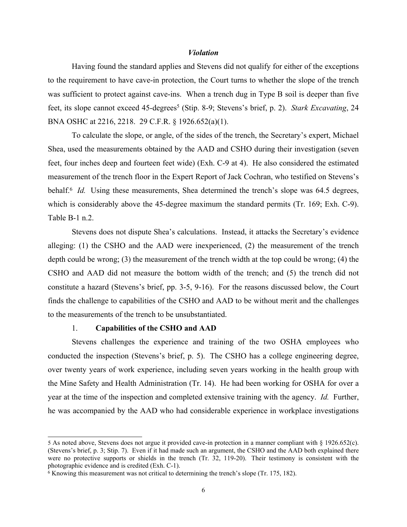#### *Violation*

Having found the standard applies and Stevens did not qualify for either of the exceptions to the requirement to have cave-in protection, the Court turns to whether the slope of the trench was sufficient to protect against cave-ins. When a trench dug in Type B soil is deeper than five feet, its slope cannot exceed 45-degrees<sup>5</sup> (Stip. 8-9; Stevens's brief, p. 2). *Stark Excavating*, 24 BNA OSHC at 2216, 2218. 29 C.F.R. § 1926.652(a)(1).

To calculate the slope, or angle, of the sides of the trench, the Secretary's expert, Michael Shea, used the measurements obtained by the AAD and CSHO during their investigation (seven feet, four inches deep and fourteen feet wide) (Exh. C-9 at 4). He also considered the estimated measurement of the trench floor in the Expert Report of Jack Cochran, who testified on Stevens's behalf.<sup>6</sup> *Id.* Using these measurements, Shea determined the trench's slope was 64.5 degrees, which is considerably above the 45-degree maximum the standard permits (Tr. 169; Exh. C-9). Table B-1 n.2.

Stevens does not dispute Shea's calculations. Instead, it attacks the Secretary's evidence alleging: (1) the CSHO and the AAD were inexperienced, (2) the measurement of the trench depth could be wrong; (3) the measurement of the trench width at the top could be wrong; (4) the CSHO and AAD did not measure the bottom width of the trench; and (5) the trench did not constitute a hazard (Stevens's brief, pp. 3-5, 9-16). For the reasons discussed below, the Court finds the challenge to capabilities of the CSHO and AAD to be without merit and the challenges to the measurements of the trench to be unsubstantiated.

#### 1. **Capabilities of the CSHO and AAD**

Stevens challenges the experience and training of the two OSHA employees who conducted the inspection (Stevens's brief, p. 5). The CSHO has a college engineering degree, over twenty years of work experience, including seven years working in the health group with the Mine Safety and Health Administration (Tr. 14). He had been working for OSHA for over a year at the time of the inspection and completed extensive training with the agency. *Id.* Further, he was accompanied by the AAD who had considerable experience in workplace investigations

<sup>5</sup> As noted above, Stevens does not argue it provided cave-in protection in a manner compliant with § 1926.652(c). (Stevens's brief, p. 3; Stip. 7). Even if it had made such an argument, the CSHO and the AAD both explained there were no protective supports or shields in the trench (Tr. 32, 119-20). Their testimony is consistent with the photographic evidence and is credited (Exh. C-1).

<sup>6</sup> Knowing this measurement was not critical to determining the trench's slope (Tr. 175, 182).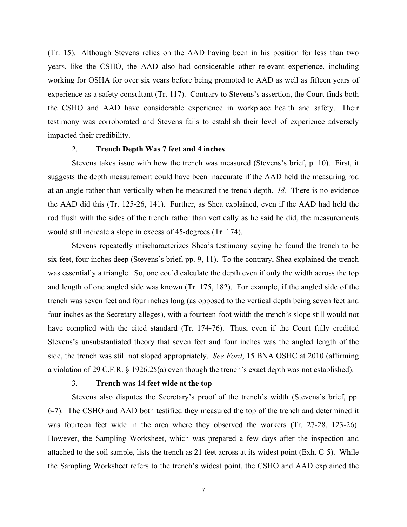(Tr. 15). Although Stevens relies on the AAD having been in his position for less than two years, like the CSHO, the AAD also had considerable other relevant experience, including working for OSHA for over six years before being promoted to AAD as well as fifteen years of experience as a safety consultant (Tr. 117). Contrary to Stevens's assertion, the Court finds both the CSHO and AAD have considerable experience in workplace health and safety. Their testimony was corroborated and Stevens fails to establish their level of experience adversely impacted their credibility.

#### 2. **Trench Depth Was 7 feet and 4 inches**

Stevens takes issue with how the trench was measured (Stevens's brief, p. 10). First, it suggests the depth measurement could have been inaccurate if the AAD held the measuring rod at an angle rather than vertically when he measured the trench depth. *Id.* There is no evidence the AAD did this (Tr. 125-26, 141). Further, as Shea explained, even if the AAD had held the rod flush with the sides of the trench rather than vertically as he said he did, the measurements would still indicate a slope in excess of 45-degrees (Tr. 174).

Stevens repeatedly mischaracterizes Shea's testimony saying he found the trench to be six feet, four inches deep (Stevens's brief, pp. 9, 11). To the contrary, Shea explained the trench was essentially a triangle. So, one could calculate the depth even if only the width across the top and length of one angled side was known (Tr. 175, 182). For example, if the angled side of the trench was seven feet and four inches long (as opposed to the vertical depth being seven feet and four inches as the Secretary alleges), with a fourteen-foot width the trench's slope still would not have complied with the cited standard (Tr. 174-76). Thus, even if the Court fully credited Stevens's unsubstantiated theory that seven feet and four inches was the angled length of the side, the trench was still not sloped appropriately. *See Ford*, 15 BNA OSHC at 2010 (affirming a violation of 29 C.F.R. § 1926.25(a) even though the trench's exact depth was not established).

#### 3. **Trench was 14 feet wide at the top**

Stevens also disputes the Secretary's proof of the trench's width (Stevens's brief, pp. 6-7). The CSHO and AAD both testified they measured the top of the trench and determined it was fourteen feet wide in the area where they observed the workers (Tr. 27-28, 123-26). However, the Sampling Worksheet, which was prepared a few days after the inspection and attached to the soil sample, lists the trench as 21 feet across at its widest point (Exh. C-5). While the Sampling Worksheet refers to the trench's widest point, the CSHO and AAD explained the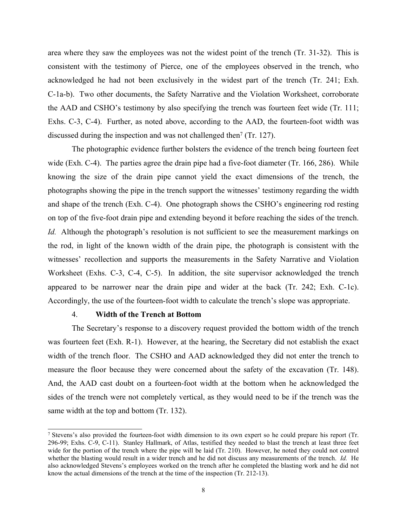area where they saw the employees was not the widest point of the trench (Tr. 31-32). This is consistent with the testimony of Pierce, one of the employees observed in the trench, who acknowledged he had not been exclusively in the widest part of the trench (Tr. 241; Exh. C-1a-b). Two other documents, the Safety Narrative and the Violation Worksheet, corroborate the AAD and CSHO's testimony by also specifying the trench was fourteen feet wide (Tr. 111; Exhs. C-3, C-4). Further, as noted above, according to the AAD, the fourteen-foot width was discussed during the inspection and was not challenged then<sup>7</sup> (Tr. 127).

The photographic evidence further bolsters the evidence of the trench being fourteen feet wide (Exh. C-4). The parties agree the drain pipe had a five-foot diameter (Tr. 166, 286). While knowing the size of the drain pipe cannot yield the exact dimensions of the trench, the photographs showing the pipe in the trench support the witnesses' testimony regarding the width and shape of the trench (Exh. C-4). One photograph shows the CSHO's engineering rod resting on top of the five-foot drain pipe and extending beyond it before reaching the sides of the trench. *Id.* Although the photograph's resolution is not sufficient to see the measurement markings on the rod, in light of the known width of the drain pipe, the photograph is consistent with the witnesses' recollection and supports the measurements in the Safety Narrative and Violation Worksheet (Exhs. C-3, C-4, C-5). In addition, the site supervisor acknowledged the trench appeared to be narrower near the drain pipe and wider at the back (Tr. 242; Exh. C-1c). Accordingly, the use of the fourteen-foot width to calculate the trench's slope was appropriate.

#### 4. **Width of the Trench at Bottom**

The Secretary's response to a discovery request provided the bottom width of the trench was fourteen feet (Exh. R-1). However, at the hearing, the Secretary did not establish the exact width of the trench floor. The CSHO and AAD acknowledged they did not enter the trench to measure the floor because they were concerned about the safety of the excavation (Tr. 148). And, the AAD cast doubt on a fourteen-foot width at the bottom when he acknowledged the sides of the trench were not completely vertical, as they would need to be if the trench was the same width at the top and bottom (Tr. 132).

<sup>7</sup> Stevens's also provided the fourteen-foot width dimension to its own expert so he could prepare his report (Tr. 296-99; Exhs. C-9, C-11). Stanley Hallmark, of Atlas, testified they needed to blast the trench at least three feet wide for the portion of the trench where the pipe will be laid (Tr. 210). However, he noted they could not control whether the blasting would result in a wider trench and he did not discuss any measurements of the trench. *Id.* He also acknowledged Stevens's employees worked on the trench after he completed the blasting work and he did not know the actual dimensions of the trench at the time of the inspection (Tr. 212-13).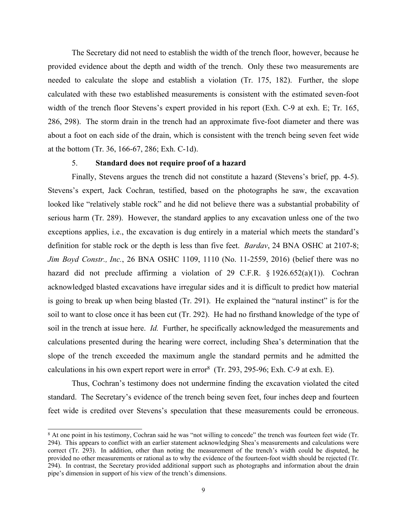The Secretary did not need to establish the width of the trench floor, however, because he provided evidence about the depth and width of the trench. Only these two measurements are needed to calculate the slope and establish a violation (Tr. 175, 182). Further, the slope calculated with these two established measurements is consistent with the estimated seven-foot width of the trench floor Stevens's expert provided in his report (Exh. C-9 at exh. E; Tr. 165, 286, 298). The storm drain in the trench had an approximate five-foot diameter and there was about a foot on each side of the drain, which is consistent with the trench being seven feet wide at the bottom (Tr. 36, 166-67, 286; Exh. C-1d).

### 5. **Standard does not require proof of a hazard**

Finally, Stevens argues the trench did not constitute a hazard (Stevens's brief, pp. 4-5). Stevens's expert, Jack Cochran, testified, based on the photographs he saw, the excavation looked like "relatively stable rock" and he did not believe there was a substantial probability of serious harm (Tr. 289). However, the standard applies to any excavation unless one of the two exceptions applies, i.e., the excavation is dug entirely in a material which meets the standard's definition for stable rock or the depth is less than five feet. *Bardav*, 24 BNA OSHC at 2107-8; *Jim Boyd Constr., Inc.*, 26 BNA OSHC 1109, 1110 (No. 11-2559, 2016) (belief there was no hazard did not preclude affirming a violation of 29 C.F.R.  $\S 1926.652(a)(1)$ . Cochran acknowledged blasted excavations have irregular sides and it is difficult to predict how material is going to break up when being blasted (Tr. 291). He explained the "natural instinct" is for the soil to want to close once it has been cut (Tr. 292). He had no firsthand knowledge of the type of soil in the trench at issue here. *Id.* Further, he specifically acknowledged the measurements and calculations presented during the hearing were correct, including Shea's determination that the slope of the trench exceeded the maximum angle the standard permits and he admitted the calculations in his own expert report were in error<sup>8</sup> (Tr. 293, 295-96; Exh. C-9 at exh. E).

Thus, Cochran's testimony does not undermine finding the excavation violated the cited standard. The Secretary's evidence of the trench being seven feet, four inches deep and fourteen feet wide is credited over Stevens's speculation that these measurements could be erroneous.

<sup>8</sup> At one point in his testimony, Cochran said he was "not willing to concede" the trench was fourteen feet wide (Tr. 294). This appears to conflict with an earlier statement acknowledging Shea's measurements and calculations were correct (Tr. 293). In addition, other than noting the measurement of the trench's width could be disputed, he provided no other measurements or rational as to why the evidence of the fourteen-foot width should be rejected (Tr. 294). In contrast, the Secretary provided additional support such as photographs and information about the drain pipe's dimension in support of his view of the trench's dimensions.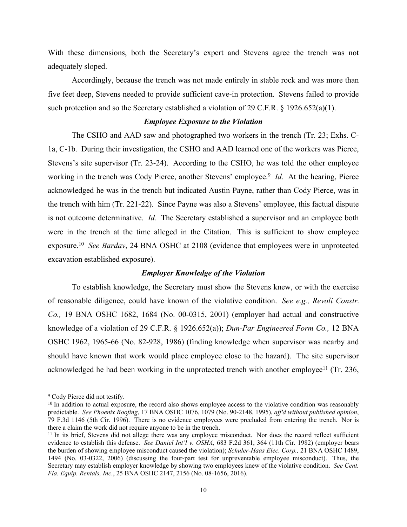With these dimensions, both the Secretary's expert and Stevens agree the trench was not adequately sloped.

Accordingly, because the trench was not made entirely in stable rock and was more than five feet deep, Stevens needed to provide sufficient cave-in protection. Stevens failed to provide such protection and so the Secretary established a violation of 29 C.F.R. § 1926.652(a)(1).

#### *Employee Exposure to the Violation*

The CSHO and AAD saw and photographed two workers in the trench (Tr. 23; Exhs. C-1a, C-1b. During their investigation, the CSHO and AAD learned one of the workers was Pierce, Stevens's site supervisor (Tr. 23-24). According to the CSHO, he was told the other employee working in the trench was Cody Pierce, another Stevens' employee.<sup>9</sup> *Id*. At the hearing, Pierce acknowledged he was in the trench but indicated Austin Payne, rather than Cody Pierce, was in the trench with him (Tr. 221-22). Since Payne was also a Stevens' employee, this factual dispute is not outcome determinative. *Id.* The Secretary established a supervisor and an employee both were in the trench at the time alleged in the Citation. This is sufficient to show employee exposure.<sup>10</sup> *See Bardav*, 24 BNA OSHC at 2108 (evidence that employees were in unprotected excavation established exposure).

## *Employer Knowledge of the Violation*

To establish knowledge, the Secretary must show the Stevens knew, or with the exercise of reasonable diligence, could have known of the violative condition. *See e.g., Revoli Constr. Co.,* 19 BNA OSHC 1682, 1684 (No. 00-0315, 2001) (employer had actual and constructive knowledge of a violation of 29 C.F.R. § 1926.652(a)); *Dun-Par Engineered Form Co.,* 12 BNA OSHC 1962, 1965-66 (No. 82-928, 1986) (finding knowledge when supervisor was nearby and should have known that work would place employee close to the hazard). The site supervisor acknowledged he had been working in the unprotected trench with another employee<sup>11</sup> (Tr. 236,

<sup>9</sup> Cody Pierce did not testify.

<sup>&</sup>lt;sup>10</sup> In addition to actual exposure, the record also shows employee access to the violative condition was reasonably predictable. *See Phoenix Roofing*, 17 BNA OSHC 1076, 1079 (No. 90-2148, 1995), *aff'd without published opinion*, 79 F.3d 1146 (5th Cir. 1996). There is no evidence employees were precluded from entering the trench. Nor is there a claim the work did not require anyone to be in the trench.

<sup>&</sup>lt;sup>11</sup> In its brief, Stevens did not allege there was any employee misconduct. Nor does the record reflect sufficient evidence to establish this defense. *See Daniel Int'l v. OSHA,* 683 F.2d 361, 364 (11th Cir. 1982) (employer bears the burden of showing employee misconduct caused the violation); *Schuler-Haas Elec. Corp.,* 21 BNA OSHC 1489, 1494 (No. 03-0322, 2006) (discussing the four-part test for unpreventable employee misconduct). Thus, the Secretary may establish employer knowledge by showing two employees knew of the violative condition. *See Cent. Fla. Equip. Rentals, Inc.*, 25 BNA OSHC 2147, 2156 (No. 08-1656, 2016).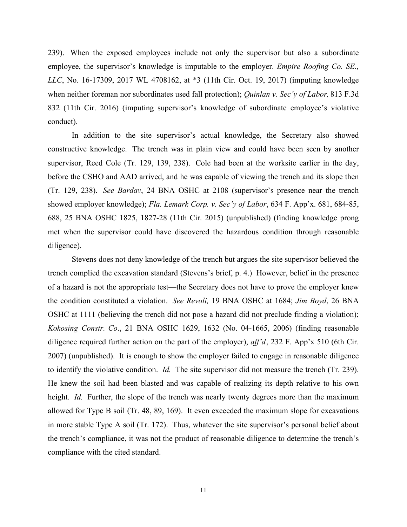239). When the exposed employees include not only the supervisor but also a subordinate employee, the supervisor's knowledge is imputable to the employer. *Empire Roofing Co. SE., LLC*, No. 16-17309, 2017 WL 4708162, at \*3 (11th Cir. Oct. 19, 2017) (imputing knowledge when neither foreman nor subordinates used fall protection); *Quinlan v. Sec'y of Labor,* 813 F.3d 832 (11th Cir. 2016) (imputing supervisor's knowledge of subordinate employee's violative conduct).

In addition to the site supervisor's actual knowledge, the Secretary also showed constructive knowledge. The trench was in plain view and could have been seen by another supervisor, Reed Cole (Tr. 129, 139, 238). Cole had been at the worksite earlier in the day, before the CSHO and AAD arrived, and he was capable of viewing the trench and its slope then (Tr. 129, 238). *See Bardav*, 24 BNA OSHC at 2108 (supervisor's presence near the trench showed employer knowledge); *Fla. Lemark Corp. v. Sec'y of Labor*, 634 F. App'x. 681, 684-85, 688, 25 BNA OSHC 1825, 1827-28 (11th Cir. 2015) (unpublished) (finding knowledge prong met when the supervisor could have discovered the hazardous condition through reasonable diligence).

Stevens does not deny knowledge of the trench but argues the site supervisor believed the trench complied the excavation standard (Stevens's brief, p. 4.) However, belief in the presence of a hazard is not the appropriate test—the Secretary does not have to prove the employer knew the condition constituted a violation. *See Revoli,* 19 BNA OSHC at 1684; *Jim Boyd*, 26 BNA OSHC at 1111 (believing the trench did not pose a hazard did not preclude finding a violation); *Kokosing Constr. Co*., 21 BNA OSHC 1629, 1632 (No. 04-1665, 2006) (finding reasonable diligence required further action on the part of the employer), *aff'd*, 232 F. App'x 510 (6th Cir. 2007) (unpublished). It is enough to show the employer failed to engage in reasonable diligence to identify the violative condition. *Id.* The site supervisor did not measure the trench (Tr. 239). He knew the soil had been blasted and was capable of realizing its depth relative to his own height. *Id.* Further, the slope of the trench was nearly twenty degrees more than the maximum allowed for Type B soil (Tr. 48, 89, 169). It even exceeded the maximum slope for excavations in more stable Type A soil (Tr. 172). Thus, whatever the site supervisor's personal belief about the trench's compliance, it was not the product of reasonable diligence to determine the trench's compliance with the cited standard.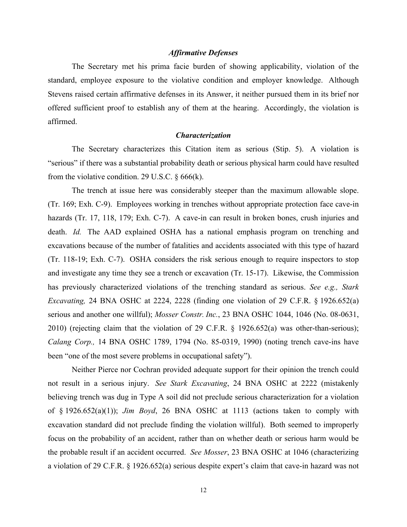#### *Affirmative Defenses*

The Secretary met his prima facie burden of showing applicability, violation of the standard, employee exposure to the violative condition and employer knowledge. Although Stevens raised certain affirmative defenses in its Answer, it neither pursued them in its brief nor offered sufficient proof to establish any of them at the hearing. Accordingly, the violation is affirmed.

#### *Characterization*

The Secretary characterizes this Citation item as serious (Stip. 5). A violation is "serious" if there was a substantial probability death or serious physical harm could have resulted from the violative condition. 29 U.S.C.  $\S 666(k)$ .

The trench at issue here was considerably steeper than the maximum allowable slope. (Tr. 169; Exh. C-9). Employees working in trenches without appropriate protection face cave-in hazards (Tr. 17, 118, 179; Exh. C-7). A cave-in can result in broken bones, crush injuries and death. *Id.* The AAD explained OSHA has a national emphasis program on trenching and excavations because of the number of fatalities and accidents associated with this type of hazard (Tr. 118-19; Exh. C-7). OSHA considers the risk serious enough to require inspectors to stop and investigate any time they see a trench or excavation (Tr. 15-17). Likewise, the Commission has previously characterized violations of the trenching standard as serious. *See e.g., Stark Excavating,* 24 BNA OSHC at 2224, 2228 (finding one violation of 29 C.F.R. § 1926.652(a) serious and another one willful); *Mosser Constr. Inc.*, 23 BNA OSHC 1044, 1046 (No. 08-0631, 2010) (rejecting claim that the violation of 29 C.F.R. § 1926.652(a) was other-than-serious); *Calang Corp.,* 14 BNA OSHC 1789, 1794 (No. 85-0319, 1990) (noting trench cave-ins have been "one of the most severe problems in occupational safety").

Neither Pierce nor Cochran provided adequate support for their opinion the trench could not result in a serious injury. *See Stark Excavating*, 24 BNA OSHC at 2222 (mistakenly believing trench was dug in Type A soil did not preclude serious characterization for a violation of § 1926.652(a)(1)); *Jim Boyd*, 26 BNA OSHC at 1113 (actions taken to comply with excavation standard did not preclude finding the violation willful). Both seemed to improperly focus on the probability of an accident, rather than on whether death or serious harm would be the probable result if an accident occurred. *See Mosser*, 23 BNA OSHC at 1046 (characterizing a violation of 29 C.F.R. § 1926.652(a) serious despite expert's claim that cave-in hazard was not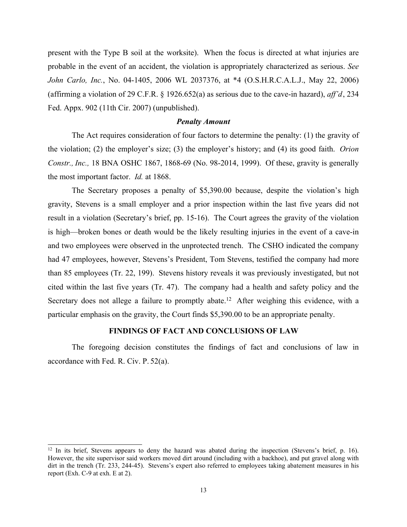present with the Type B soil at the worksite). When the focus is directed at what injuries are probable in the event of an accident, the violation is appropriately characterized as serious. *See John Carlo, Inc.*, No. 04-1405, 2006 WL 2037376, at \*4 (O.S.H.R.C.A.L.J., May 22, 2006) (affirming a violation of 29 C.F.R. § 1926.652(a) as serious due to the cave-in hazard), *aff'd*, 234 Fed. Appx. 902 (11th Cir. 2007) (unpublished).

### *Penalty Amount*

The Act requires consideration of four factors to determine the penalty: (1) the gravity of the violation; (2) the employer's size; (3) the employer's history; and (4) its good faith. *Orion Constr., Inc.,* 18 BNA OSHC 1867, 1868-69 (No. 98-2014, 1999). Of these, gravity is generally the most important factor. *Id.* at 1868.

The Secretary proposes a penalty of \$5,390.00 because, despite the violation's high gravity, Stevens is a small employer and a prior inspection within the last five years did not result in a violation (Secretary's brief, pp. 15-16). The Court agrees the gravity of the violation is high—broken bones or death would be the likely resulting injuries in the event of a cave-in and two employees were observed in the unprotected trench. The CSHO indicated the company had 47 employees, however, Stevens's President, Tom Stevens, testified the company had more than 85 employees (Tr. 22, 199). Stevens history reveals it was previously investigated, but not cited within the last five years (Tr. 47). The company had a health and safety policy and the Secretary does not allege a failure to promptly abate.<sup>12</sup> After weighing this evidence, with a particular emphasis on the gravity, the Court finds \$5,390.00 to be an appropriate penalty.

## **FINDINGS OF FACT AND CONCLUSIONS OF LAW**

The foregoing decision constitutes the findings of fact and conclusions of law in accordance with Fed. R. Civ. P. 52(a).

<sup>&</sup>lt;sup>12</sup> In its brief, Stevens appears to deny the hazard was abated during the inspection (Stevens's brief, p. 16). However, the site supervisor said workers moved dirt around (including with a backhoe), and put gravel along with dirt in the trench (Tr. 233, 244-45). Stevens's expert also referred to employees taking abatement measures in his report (Exh. C-9 at exh. E at 2).